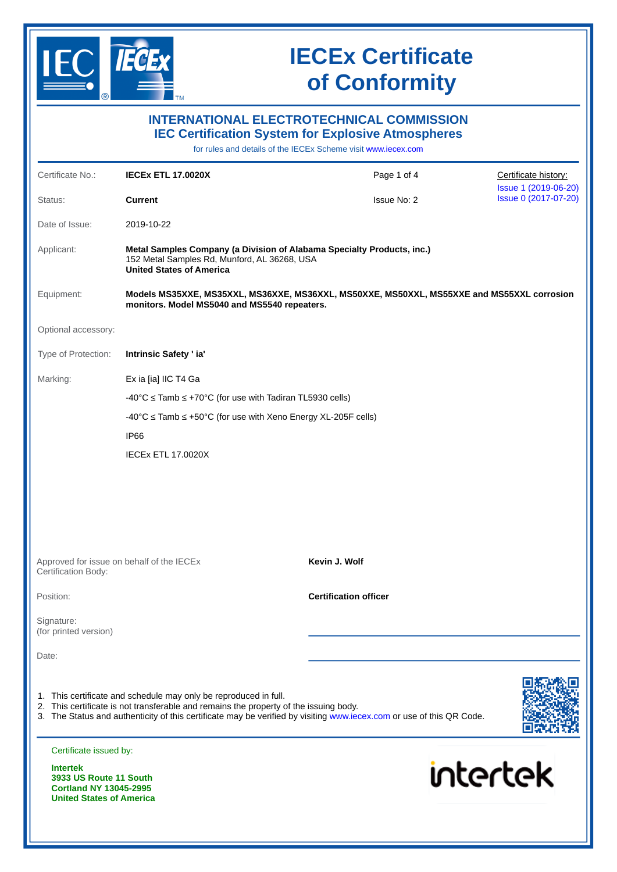

|                                                                                                               |                                                                                                                                                           | <b>INTERNATIONAL ELECTROTECHNICAL COMMISSION</b><br><b>IEC Certification System for Explosive Atmospheres</b><br>for rules and details of the IECEx Scheme visit www.jecex.com |                                              |
|---------------------------------------------------------------------------------------------------------------|-----------------------------------------------------------------------------------------------------------------------------------------------------------|--------------------------------------------------------------------------------------------------------------------------------------------------------------------------------|----------------------------------------------|
| Certificate No.:                                                                                              | <b>IECEX ETL 17.0020X</b>                                                                                                                                 | Page 1 of 4                                                                                                                                                                    | Certificate history:                         |
| Status:                                                                                                       | <b>Current</b>                                                                                                                                            | <b>Issue No: 2</b>                                                                                                                                                             | Issue 1 (2019-06-20)<br>Issue 0 (2017-07-20) |
| Date of Issue:                                                                                                | 2019-10-22                                                                                                                                                |                                                                                                                                                                                |                                              |
| Applicant:                                                                                                    | 152 Metal Samples Rd, Munford, AL 36268, USA<br><b>United States of America</b>                                                                           | Metal Samples Company (a Division of Alabama Specialty Products, inc.)                                                                                                         |                                              |
| Equipment:                                                                                                    | monitors. Model MS5040 and MS5540 repeaters.                                                                                                              | Models MS35XXE, MS35XXL, MS36XXE, MS36XXL, MS50XXE, MS50XXL, MS55XXE and MS55XXL corrosion                                                                                     |                                              |
| Optional accessory:                                                                                           |                                                                                                                                                           |                                                                                                                                                                                |                                              |
| Type of Protection:                                                                                           | Intrinsic Safety ' ia'                                                                                                                                    |                                                                                                                                                                                |                                              |
| Marking:                                                                                                      | Ex ia [ia] IIC T4 Ga                                                                                                                                      |                                                                                                                                                                                |                                              |
|                                                                                                               | $-40^{\circ}$ C $\le$ Tamb $\le$ +70°C (for use with Tadiran TL5930 cells)                                                                                |                                                                                                                                                                                |                                              |
|                                                                                                               | $-40^{\circ}$ C $\le$ Tamb $\le$ +50°C (for use with Xeno Energy XL-205F cells)                                                                           |                                                                                                                                                                                |                                              |
|                                                                                                               | IP <sub>66</sub>                                                                                                                                          |                                                                                                                                                                                |                                              |
|                                                                                                               | <b>IECEX ETL 17.0020X</b>                                                                                                                                 |                                                                                                                                                                                |                                              |
| Certification Body:                                                                                           | Approved for issue on behalf of the IECEX                                                                                                                 | Kevin J. Wolf                                                                                                                                                                  |                                              |
| Position:                                                                                                     |                                                                                                                                                           | <b>Certification officer</b>                                                                                                                                                   |                                              |
| Signature:<br>(for printed version)                                                                           |                                                                                                                                                           |                                                                                                                                                                                |                                              |
| Date:                                                                                                         |                                                                                                                                                           |                                                                                                                                                                                |                                              |
|                                                                                                               | 1. This certificate and schedule may only be reproduced in full.<br>2. This certificate is not transferable and remains the property of the issuing body. | 3. The Status and authenticity of this certificate may be verified by visiting www.iecex.com or use of this QR Code.                                                           |                                              |
| Certificate issued by:                                                                                        |                                                                                                                                                           |                                                                                                                                                                                |                                              |
| <b>Intertek</b><br>3933 US Route 11 South<br><b>Cortland NY 13045-2995</b><br><b>United States of America</b> |                                                                                                                                                           | intertek                                                                                                                                                                       |                                              |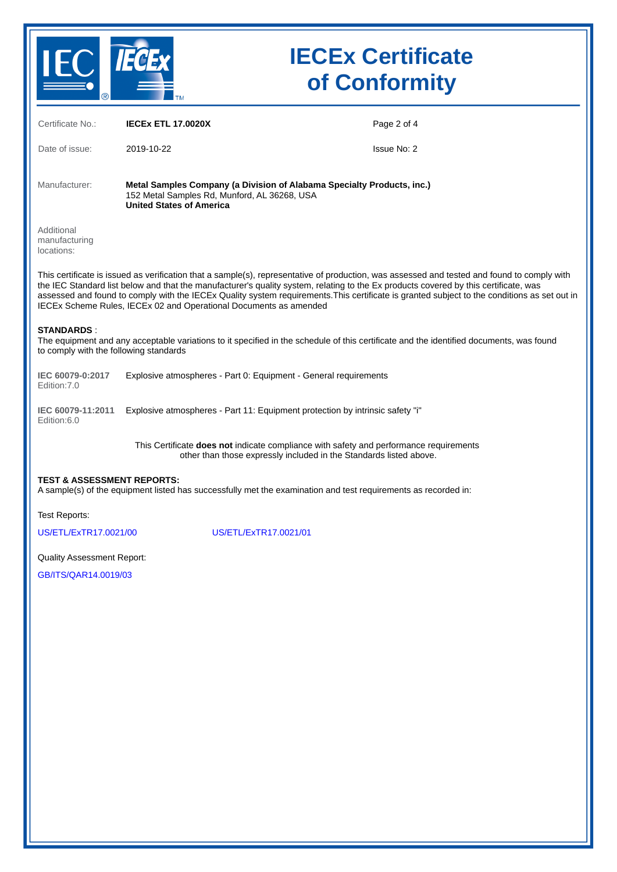

| Certificate No.:                                            | <b>IECEX ETL 17.0020X</b>                                                                                                                                                                                                                                                                                                                                                                                                                                                                                | Page 2 of 4 |
|-------------------------------------------------------------|----------------------------------------------------------------------------------------------------------------------------------------------------------------------------------------------------------------------------------------------------------------------------------------------------------------------------------------------------------------------------------------------------------------------------------------------------------------------------------------------------------|-------------|
| Date of issue:                                              | 2019-10-22                                                                                                                                                                                                                                                                                                                                                                                                                                                                                               | Issue No: 2 |
| Manufacturer:                                               | Metal Samples Company (a Division of Alabama Specialty Products, inc.)<br>152 Metal Samples Rd, Munford, AL 36268, USA<br><b>United States of America</b>                                                                                                                                                                                                                                                                                                                                                |             |
| Additional<br>manufacturing<br>locations:                   |                                                                                                                                                                                                                                                                                                                                                                                                                                                                                                          |             |
|                                                             | This certificate is issued as verification that a sample(s), representative of production, was assessed and tested and found to comply with<br>the IEC Standard list below and that the manufacturer's quality system, relating to the Ex products covered by this certificate, was<br>assessed and found to comply with the IECEx Quality system requirements. This certificate is granted subject to the conditions as set out in<br>IECEx Scheme Rules, IECEx 02 and Operational Documents as amended |             |
| <b>STANDARDS:</b><br>to comply with the following standards | The equipment and any acceptable variations to it specified in the schedule of this certificate and the identified documents, was found                                                                                                                                                                                                                                                                                                                                                                  |             |
| IEC 60079-0:2017<br>Edition: 7.0                            | Explosive atmospheres - Part 0: Equipment - General requirements                                                                                                                                                                                                                                                                                                                                                                                                                                         |             |
| IEC 60079-11:2011<br>Edition: 6.0                           | Explosive atmospheres - Part 11: Equipment protection by intrinsic safety "i"                                                                                                                                                                                                                                                                                                                                                                                                                            |             |
|                                                             | This Certificate does not indicate compliance with safety and performance requirements<br>other than those expressly included in the Standards listed above.                                                                                                                                                                                                                                                                                                                                             |             |
| <b>TEST &amp; ASSESSMENT REPORTS:</b>                       | A sample(s) of the equipment listed has successfully met the examination and test requirements as recorded in:                                                                                                                                                                                                                                                                                                                                                                                           |             |
| Test Reports:                                               |                                                                                                                                                                                                                                                                                                                                                                                                                                                                                                          |             |
| US/ETL/ExTR17.0021/00                                       | US/ETL/ExTR17.0021/01                                                                                                                                                                                                                                                                                                                                                                                                                                                                                    |             |
| <b>Quality Assessment Report:</b>                           |                                                                                                                                                                                                                                                                                                                                                                                                                                                                                                          |             |
| GB/ITS/OAR14.0019/03                                        |                                                                                                                                                                                                                                                                                                                                                                                                                                                                                                          |             |
|                                                             |                                                                                                                                                                                                                                                                                                                                                                                                                                                                                                          |             |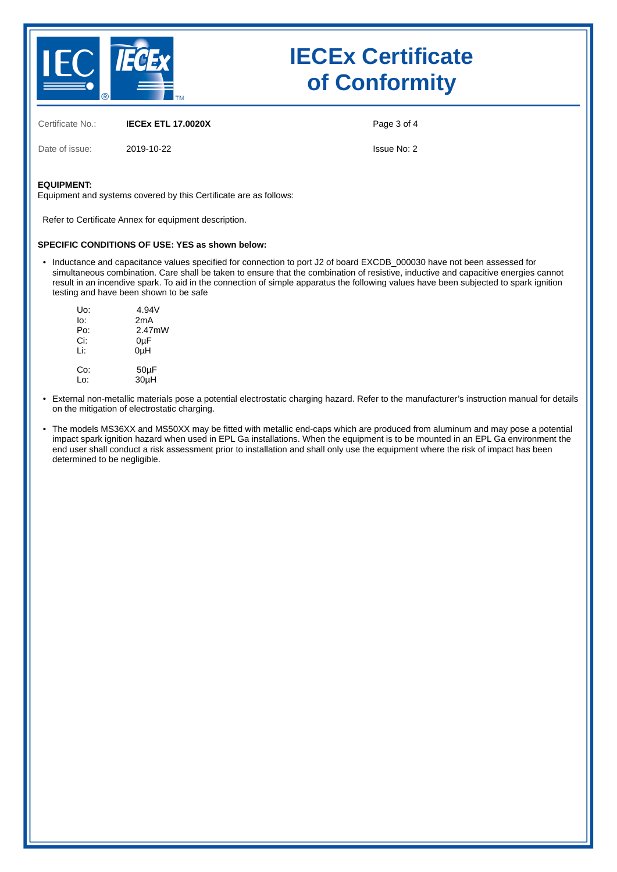

Certificate No.: **IECEx ETL 17.0020X**

Date of issue: 2019-10-22

Page 3 of 4

Issue No: 2

#### **EQUIPMENT:**

Equipment and systems covered by this Certificate are as follows:

Refer to Certificate Annex for equipment description.

#### **SPECIFIC CONDITIONS OF USE: YES as shown below:**

• Inductance and capacitance values specified for connection to port J2 of board EXCDB\_000030 have not been assessed for simultaneous combination. Care shall be taken to ensure that the combination of resistive, inductive and capacitive energies cannot result in an incendive spark. To aid in the connection of simple apparatus the following values have been subjected to spark ignition testing and have been shown to be safe

| Uo: | 4.94V            |
|-----|------------------|
| lo: | 2mA              |
| Po: | 2.47mW           |
| Ci: | 0µF              |
| Li: | 0 <sub>u</sub> H |
| Co: | $50\mu F$        |
| Lo: | 30µH             |

- External non-metallic materials pose a potential electrostatic charging hazard. Refer to the manufacturer's instruction manual for details on the mitigation of electrostatic charging.
- The models MS36XX and MS50XX may be fitted with metallic end-caps which are produced from aluminum and may pose a potential impact spark ignition hazard when used in EPL Ga installations. When the equipment is to be mounted in an EPL Ga environment the end user shall conduct a risk assessment prior to installation and shall only use the equipment where the risk of impact has been determined to be negligible.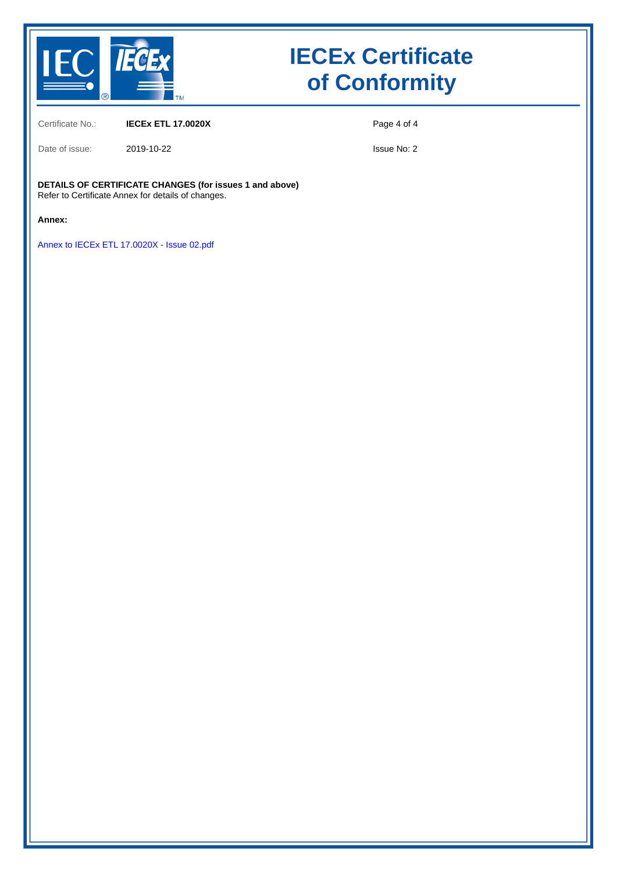

Certificate No.: **IECEx ETL 17.0020X**

Date of issue: 2019-10-22

Page 4 of 4

Issue No: 2

#### **DETAILS OF CERTIFICATE CHANGES (for issues 1 and above)** Refer to Certificate Annex for details of changes.

**Annex:**

[Annex to IECEx ETL 17.0020X - Issue 02.pdf](https://www.iecex-certs.com/deliverables/CERT/17325/view)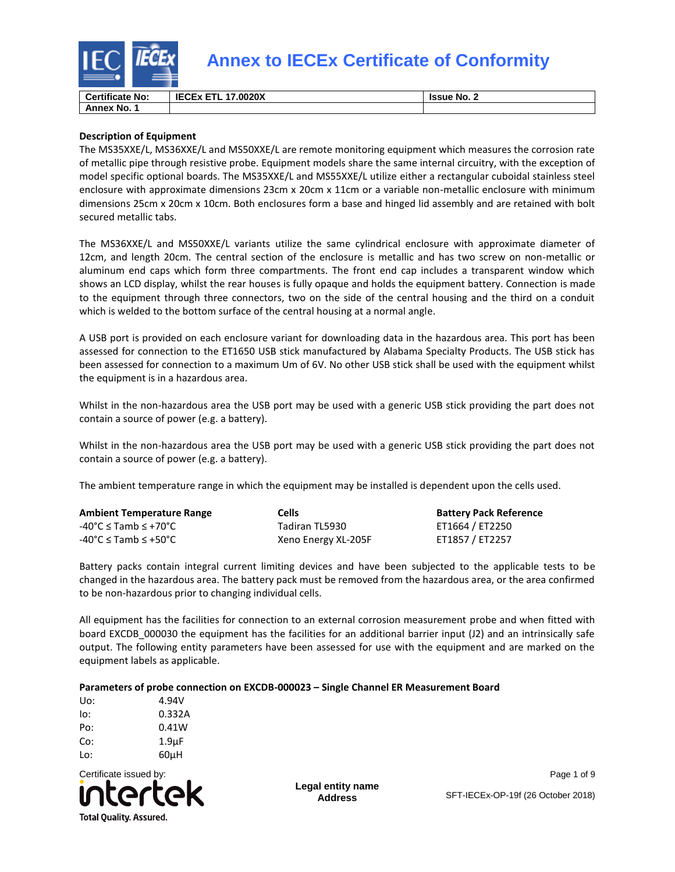

| <b>Certificate No:</b> | <b>IECEX ETL</b><br>.17.0020X | <b>SISSUE No.</b> ∠ |
|------------------------|-------------------------------|---------------------|
| Annex No.              |                               |                     |

### **Description of Equipment**

The MS35XXE/L, MS36XXE/L and MS50XXE/L are remote monitoring equipment which measures the corrosion rate of metallic pipe through resistive probe. Equipment models share the same internal circuitry, with the exception of model specific optional boards. The MS35XXE/L and MS55XXE/L utilize either a rectangular cuboidal stainless steel enclosure with approximate dimensions 23cm x 20cm x 11cm or a variable non-metallic enclosure with minimum dimensions 25cm x 20cm x 10cm. Both enclosures form a base and hinged lid assembly and are retained with bolt secured metallic tabs.

The MS36XXE/L and MS50XXE/L variants utilize the same cylindrical enclosure with approximate diameter of 12cm, and length 20cm. The central section of the enclosure is metallic and has two screw on non-metallic or aluminum end caps which form three compartments. The front end cap includes a transparent window which shows an LCD display, whilst the rear houses is fully opaque and holds the equipment battery. Connection is made to the equipment through three connectors, two on the side of the central housing and the third on a conduit which is welded to the bottom surface of the central housing at a normal angle.

A USB port is provided on each enclosure variant for downloading data in the hazardous area. This port has been assessed for connection to the ET1650 USB stick manufactured by Alabama Specialty Products. The USB stick has been assessed for connection to a maximum Um of 6V. No other USB stick shall be used with the equipment whilst the equipment is in a hazardous area.

Whilst in the non-hazardous area the USB port may be used with a generic USB stick providing the part does not contain a source of power (e.g. a battery).

Whilst in the non-hazardous area the USB port may be used with a generic USB stick providing the part does not contain a source of power (e.g. a battery).

The ambient temperature range in which the equipment may be installed is dependent upon the cells used.

| <b>Ambient Temperature Range</b>                            | <b>Cells</b>        | <b>Battery Pack Reference</b> |
|-------------------------------------------------------------|---------------------|-------------------------------|
| $-40^{\circ}$ C $\leq$ Tamb $\leq$ +70 $^{\circ}$ C $^{-1}$ | Tadiran TL5930      | ET1664 / ET2250               |
| $-40^{\circ}$ C $\leq$ Tamb $\leq$ +50 $^{\circ}$ C         | Xeno Energy XL-205F | ET1857 / ET2257               |

Battery packs contain integral current limiting devices and have been subjected to the applicable tests to be changed in the hazardous area. The battery pack must be removed from the hazardous area, or the area confirmed to be non-hazardous prior to changing individual cells.

All equipment has the facilities for connection to an external corrosion measurement probe and when fitted with board EXCDB\_000030 the equipment has the facilities for an additional barrier input (J2) and an intrinsically safe output. The following entity parameters have been assessed for use with the equipment and are marked on the equipment labels as applicable.

### **Parameters of probe connection on EXCDB-000023 – Single Channel ER Measurement Board**

| Uo: | 4.94V              |
|-----|--------------------|
| lo: | 0.332A             |
| Po: | 0.41W              |
| Co: | 1.9 <sub>µ</sub> F |
| Lo: | 60uH               |



**Legal entity name Address**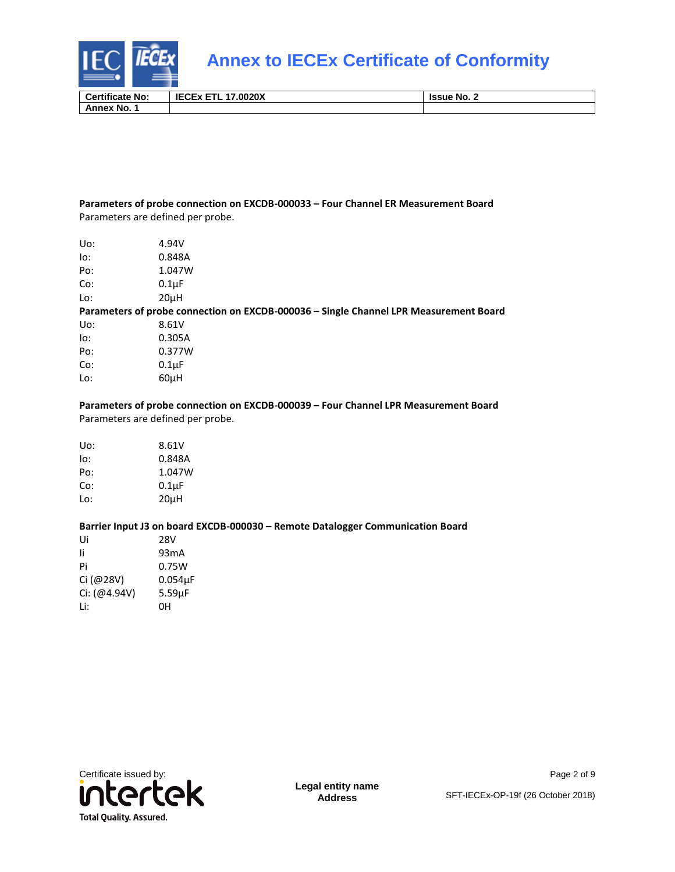

| <b>Certificate No:</b> | $T^*$<br>.0020X<br>化心口入口 | <b>Issue No. 2</b> |
|------------------------|--------------------------|--------------------|
| Annex No.              |                          |                    |

#### **Parameters of probe connection on EXCDB-000033 – Four Channel ER Measurement Board**  Parameters are defined per probe.

| Uo: | 4.94V                                                                                 |
|-----|---------------------------------------------------------------------------------------|
| lo: | 0.848A                                                                                |
| Po: | 1.047W                                                                                |
| Co: | $0.1\mu F$                                                                            |
| Lo: | 20uH                                                                                  |
|     | Parameters of probe connection on EXCDB-000036 - Single Channel LPR Measurement Board |
| Uo: | 8.61V                                                                                 |
| lo: | 0.305A                                                                                |
| Po: | 0.377W                                                                                |
| Co: | $0.1\mu F$                                                                            |
| Lo: | 60uH                                                                                  |
|     |                                                                                       |

**Parameters of probe connection on EXCDB-000039 – Four Channel LPR Measurement Board**  Parameters are defined per probe.

| Uo: | 8.61V      |
|-----|------------|
| lo: | 0.848A     |
| Po: | 1.047W     |
| Co: | $0.1\mu F$ |
| Lo: | 20uH       |

#### **Barrier Input J3 on board EXCDB-000030 – Remote Datalogger Communication Board**

| Ui           | 28V               |
|--------------|-------------------|
| Ιi           | 93 <sub>m</sub> A |
| Pi           | 0.75W             |
| Ci (@28V)    | $0.054\mu F$      |
| Ci: (@4.94V) | 5.59uF            |
| l i:         | OН                |



Page 2 of 9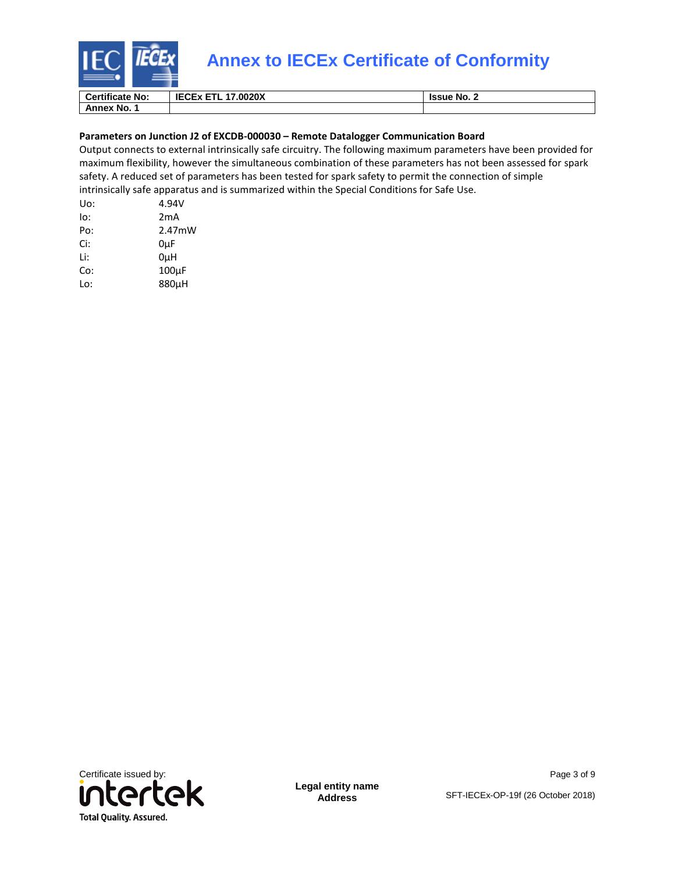

| <b>Certificate No:</b> | <b>IECEX ETL 17.0020X</b> | Ssue No. ∠ |
|------------------------|---------------------------|------------|
| <b>Annex No.</b>       |                           |            |

#### **Parameters on Junction J2 of EXCDB-000030 – Remote Datalogger Communication Board**

Output connects to external intrinsically safe circuitry. The following maximum parameters have been provided for maximum flexibility, however the simultaneous combination of these parameters has not been assessed for spark safety. A reduced set of parameters has been tested for spark safety to permit the connection of simple intrinsically safe apparatus and is summarized within the Special Conditions for Safe Use.

| Uo: | 4.94V              |
|-----|--------------------|
| lo: | 2mA                |
| Po: | 2.47mW             |
| Ci: | 0µF                |
| Li: | 0uH                |
| Co: | 100 <sub>u</sub> F |
| Lo: | 880uH              |
|     |                    |



**Legal entity name Address**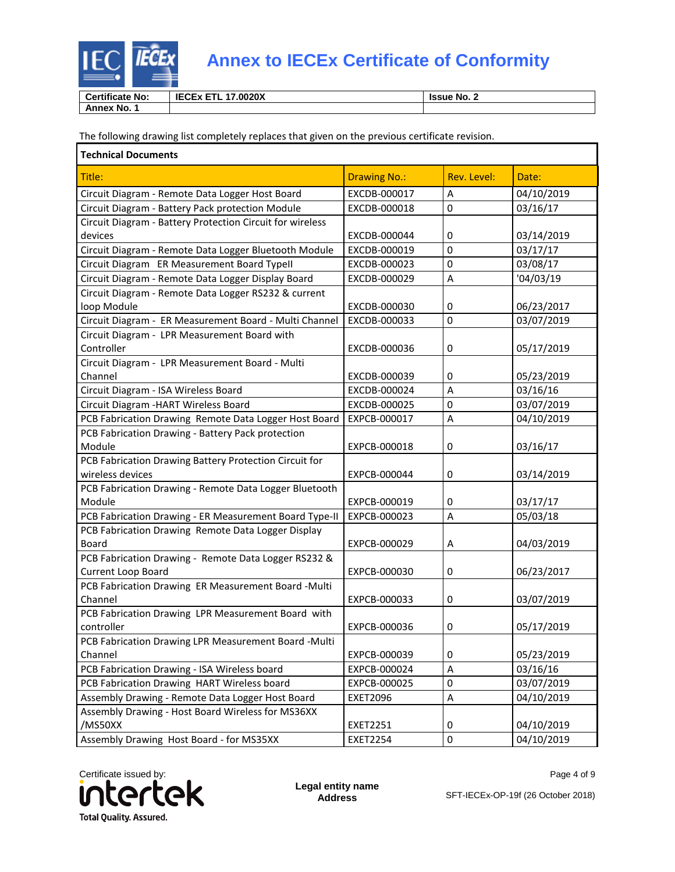

| <b>Certificate No:</b> | 17.0020X<br><b>IECEX</b><br>---<br>. . | <b>Issue No. 2</b> |
|------------------------|----------------------------------------|--------------------|
| . ∗ No. .<br>Annex     |                                        |                    |

The following drawing list completely replaces that given on the previous certificate revision.

| <b>Technical Documents</b>                                         |                     |             |            |
|--------------------------------------------------------------------|---------------------|-------------|------------|
| Title:                                                             | <b>Drawing No.:</b> | Rev. Level: | Date:      |
| Circuit Diagram - Remote Data Logger Host Board                    | EXCDB-000017        | Α           | 04/10/2019 |
| Circuit Diagram - Battery Pack protection Module                   | EXCDB-000018        | 0           | 03/16/17   |
| Circuit Diagram - Battery Protection Circuit for wireless          |                     |             |            |
| devices                                                            | EXCDB-000044        | 0           | 03/14/2019 |
| Circuit Diagram - Remote Data Logger Bluetooth Module              | EXCDB-000019        | 0           | 03/17/17   |
| Circuit Diagram ER Measurement Board Typell                        | EXCDB-000023        | 0           | 03/08/17   |
| Circuit Diagram - Remote Data Logger Display Board                 | EXCDB-000029        | $\sf A$     | '04/03/19  |
| Circuit Diagram - Remote Data Logger RS232 & current               |                     |             |            |
| loop Module                                                        | EXCDB-000030        | 0           | 06/23/2017 |
| Circuit Diagram - ER Measurement Board - Multi Channel             | EXCDB-000033        | 0           | 03/07/2019 |
| Circuit Diagram - LPR Measurement Board with                       |                     |             |            |
| Controller                                                         | EXCDB-000036        | 0           | 05/17/2019 |
| Circuit Diagram - LPR Measurement Board - Multi                    |                     |             |            |
| Channel                                                            | EXCDB-000039        | 0           | 05/23/2019 |
| Circuit Diagram - ISA Wireless Board                               | EXCDB-000024        | A           | 03/16/16   |
| Circuit Diagram - HART Wireless Board                              | EXCDB-000025        | $\mathbf 0$ | 03/07/2019 |
| PCB Fabrication Drawing Remote Data Logger Host Board              | EXPCB-000017        | A           | 04/10/2019 |
| PCB Fabrication Drawing - Battery Pack protection                  |                     |             |            |
| Module                                                             | EXPCB-000018        | 0           | 03/16/17   |
| PCB Fabrication Drawing Battery Protection Circuit for             |                     |             |            |
| wireless devices                                                   | EXPCB-000044        | 0           | 03/14/2019 |
| PCB Fabrication Drawing - Remote Data Logger Bluetooth             |                     |             |            |
| Module                                                             | EXPCB-000019        | 0           | 03/17/17   |
| PCB Fabrication Drawing - ER Measurement Board Type-II             | EXPCB-000023        | A           | 05/03/18   |
| PCB Fabrication Drawing Remote Data Logger Display                 |                     |             |            |
| Board                                                              | EXPCB-000029        | Α           | 04/03/2019 |
| PCB Fabrication Drawing - Remote Data Logger RS232 &               |                     |             |            |
| Current Loop Board                                                 | EXPCB-000030        | 0           | 06/23/2017 |
| PCB Fabrication Drawing ER Measurement Board -Multi                |                     |             |            |
| Channel                                                            | EXPCB-000033        | 0           | 03/07/2019 |
| PCB Fabrication Drawing LPR Measurement Board with                 | EXPCB-000036        | 0           | 05/17/2019 |
| controller<br>PCB Fabrication Drawing LPR Measurement Board -Multi |                     |             |            |
| Channel                                                            | EXPCB-000039        | 0           | 05/23/2019 |
| PCB Fabrication Drawing - ISA Wireless board                       | EXPCB-000024        | A           | 03/16/16   |
| PCB Fabrication Drawing HART Wireless board                        | EXPCB-000025        | 0           | 03/07/2019 |
| Assembly Drawing - Remote Data Logger Host Board                   | <b>EXET2096</b>     | A           | 04/10/2019 |
| Assembly Drawing - Host Board Wireless for MS36XX                  |                     |             |            |
| /MS50XX                                                            | <b>EXET2251</b>     | 0           | 04/10/2019 |
| Assembly Drawing Host Board - for MS35XX                           | <b>EXET2254</b>     | $\pmb{0}$   | 04/10/2019 |



**Legal entity name Address**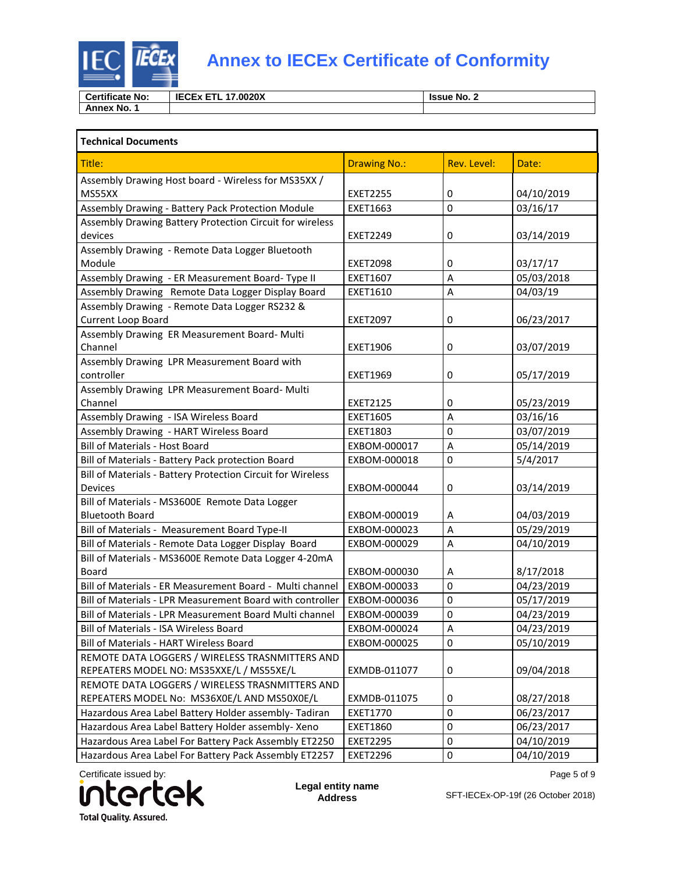

| <b>Certificate No:</b> | <b>IECEX</b><br>17.0020X<br>--<br>EIL | <b>Same No. 2</b> |
|------------------------|---------------------------------------|-------------------|
| Annex No.              |                                       |                   |

| <b>Technical Documents</b>                                  |                     |             |            |
|-------------------------------------------------------------|---------------------|-------------|------------|
| Title:                                                      | <b>Drawing No.:</b> | Rev. Level: | Date:      |
| Assembly Drawing Host board - Wireless for MS35XX /         |                     |             |            |
| MS55XX                                                      | <b>EXET2255</b>     | 0           | 04/10/2019 |
| Assembly Drawing - Battery Pack Protection Module           | EXET1663            | 0           | 03/16/17   |
| Assembly Drawing Battery Protection Circuit for wireless    |                     |             |            |
| devices                                                     | <b>EXET2249</b>     | 0           | 03/14/2019 |
| Assembly Drawing - Remote Data Logger Bluetooth             |                     |             |            |
| Module                                                      | <b>EXET2098</b>     | 0           | 03/17/17   |
| Assembly Drawing - ER Measurement Board- Type II            | EXET1607            | Α           | 05/03/2018 |
| Assembly Drawing Remote Data Logger Display Board           | EXET1610            | Α           | 04/03/19   |
| Assembly Drawing - Remote Data Logger RS232 &               |                     |             |            |
| Current Loop Board                                          | <b>EXET2097</b>     | 0           | 06/23/2017 |
| Assembly Drawing ER Measurement Board- Multi                |                     |             |            |
| Channel                                                     | <b>EXET1906</b>     | 0           | 03/07/2019 |
| Assembly Drawing LPR Measurement Board with                 |                     |             |            |
| controller                                                  | <b>EXET1969</b>     | 0           | 05/17/2019 |
| Assembly Drawing LPR Measurement Board- Multi               |                     |             |            |
| Channel                                                     | <b>EXET2125</b>     | 0           | 05/23/2019 |
| Assembly Drawing - ISA Wireless Board                       | <b>EXET1605</b>     | A           | 03/16/16   |
| Assembly Drawing - HART Wireless Board                      | EXET1803            | 0           | 03/07/2019 |
| <b>Bill of Materials - Host Board</b>                       | EXBOM-000017        | A           | 05/14/2019 |
| Bill of Materials - Battery Pack protection Board           | EXBOM-000018        | 0           | 5/4/2017   |
| Bill of Materials - Battery Protection Circuit for Wireless |                     |             |            |
| <b>Devices</b>                                              | EXBOM-000044        | 0           | 03/14/2019 |
| Bill of Materials - MS3600E Remote Data Logger              |                     |             |            |
| <b>Bluetooth Board</b>                                      | EXBOM-000019        | Α           | 04/03/2019 |
| Bill of Materials - Measurement Board Type-II               | EXBOM-000023        | Α           | 05/29/2019 |
| Bill of Materials - Remote Data Logger Display Board        | EXBOM-000029        | A           | 04/10/2019 |
| Bill of Materials - MS3600E Remote Data Logger 4-20mA       |                     |             |            |
| Board                                                       | EXBOM-000030        | Α           | 8/17/2018  |
| Bill of Materials - ER Measurement Board - Multi channel    | EXBOM-000033        | 0           | 04/23/2019 |
| Bill of Materials - LPR Measurement Board with controller   | EXBOM-000036        | 0           | 05/17/2019 |
| Bill of Materials - LPR Measurement Board Multi channel     | EXBOM-000039        | 0           | 04/23/2019 |
| Bill of Materials - ISA Wireless Board                      | EXBOM-000024        | $\sf A$     | 04/23/2019 |
| Bill of Materials - HART Wireless Board                     | EXBOM-000025        | 0           | 05/10/2019 |
| REMOTE DATA LOGGERS / WIRELESS TRASNMITTERS AND             |                     |             |            |
| REPEATERS MODEL NO: MS35XXE/L / MS55XE/L                    | EXMDB-011077        | 0           | 09/04/2018 |
| REMOTE DATA LOGGERS / WIRELESS TRASNMITTERS AND             |                     |             |            |
| REPEATERS MODEL No: MS36X0E/L AND MS50X0E/L                 | EXMDB-011075        | 0           | 08/27/2018 |
| Hazardous Area Label Battery Holder assembly- Tadiran       | <b>EXET1770</b>     | 0           | 06/23/2017 |
| Hazardous Area Label Battery Holder assembly- Xeno          | <b>EXET1860</b>     | $\mathbf 0$ | 06/23/2017 |
| Hazardous Area Label For Battery Pack Assembly ET2250       | <b>EXET2295</b>     | 0           | 04/10/2019 |
| Hazardous Area Label For Battery Pack Assembly ET2257       | <b>EXET2296</b>     | 0           | 04/10/2019 |



**Legal entity name Address**

Page 5 of 9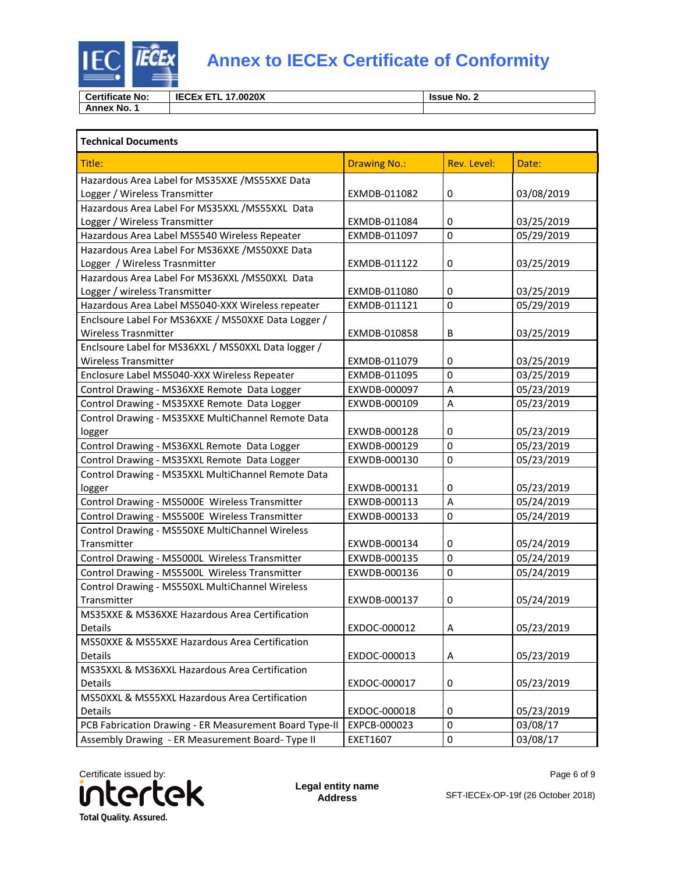

| <b>Certificate No:</b> | <b>IECEX</b><br>17.0020X<br>---<br>-<br>--- | <b>Issue No. 2</b> |
|------------------------|---------------------------------------------|--------------------|
| Annex No.              |                                             |                    |

| <b>Technical Documents</b>                             |                     |             |            |
|--------------------------------------------------------|---------------------|-------------|------------|
| Title:                                                 | <b>Drawing No.:</b> | Rev. Level: | Date:      |
| Hazardous Area Label for MS35XXE / MS55XXE Data        |                     |             |            |
| Logger / Wireless Transmitter                          | EXMDB-011082        | 0           | 03/08/2019 |
| Hazardous Area Label For MS35XXL / MS55XXL Data        |                     |             |            |
| Logger / Wireless Transmitter                          | EXMDB-011084        | 0           | 03/25/2019 |
| Hazardous Area Label MS5540 Wireless Repeater          | EXMDB-011097        | 0           | 05/29/2019 |
| Hazardous Area Label For MS36XXE / MS50XXE Data        |                     |             |            |
| Logger / Wireless Trasnmitter                          | EXMDB-011122        | 0           | 03/25/2019 |
| Hazardous Area Label For MS36XXL / MS50XXL Data        |                     |             |            |
| Logger / wireless Transmitter                          | EXMDB-011080        | 0           | 03/25/2019 |
| Hazardous Area Label MS5040-XXX Wireless repeater      | EXMDB-011121        | 0           | 05/29/2019 |
| Enclsoure Label For MS36XXE / MS50XXE Data Logger /    |                     |             |            |
| <b>Wireless Trasnmitter</b>                            | EXMDB-010858        | В           | 03/25/2019 |
| Enclsoure Label for MS36XXL / MS50XXL Data logger /    |                     |             |            |
| <b>Wireless Transmitter</b>                            | EXMDB-011079        | 0           | 03/25/2019 |
| Enclosure Label MS5040-XXX Wireless Repeater           | EXMDB-011095        | 0           | 03/25/2019 |
| Control Drawing - MS36XXE Remote Data Logger           | EXWDB-000097        | A           | 05/23/2019 |
| Control Drawing - MS35XXE Remote Data Logger           | EXWDB-000109        | A           | 05/23/2019 |
| Control Drawing - MS35XXE MultiChannel Remote Data     |                     |             |            |
| logger                                                 | EXWDB-000128        | 0           | 05/23/2019 |
| Control Drawing - MS36XXL Remote Data Logger           | EXWDB-000129        | 0           | 05/23/2019 |
| Control Drawing - MS35XXL Remote Data Logger           | EXWDB-000130        | 0           | 05/23/2019 |
| Control Drawing - MS35XXL MultiChannel Remote Data     |                     |             |            |
| logger                                                 | EXWDB-000131        | 0           | 05/23/2019 |
| Control Drawing - MS5000E Wireless Transmitter         | EXWDB-000113        | Α           | 05/24/2019 |
| Control Drawing - MS5500E Wireless Transmitter         | EXWDB-000133        | 0           | 05/24/2019 |
| Control Drawing - MS550XE MultiChannel Wireless        |                     |             |            |
| Transmitter                                            | EXWDB-000134        | 0           | 05/24/2019 |
| Control Drawing - MS5000L Wireless Transmitter         | EXWDB-000135        | 0           | 05/24/2019 |
| Control Drawing - MS5500L Wireless Transmitter         | EXWDB-000136        | 0           | 05/24/2019 |
| Control Drawing - MS550XL MultiChannel Wireless        |                     |             |            |
| Transmitter                                            | EXWDB-000137        | 0           | 05/24/2019 |
| MS35XXE & MS36XXE Hazardous Area Certification         |                     |             |            |
| Details                                                | EXDOC-000012        | А           | 05/23/2019 |
| MS50XXE & MS55XXE Hazardous Area Certification         |                     |             |            |
| Details                                                | EXDOC-000013        | A           | 05/23/2019 |
| MS35XXL & MS36XXL Hazardous Area Certification         |                     |             |            |
| Details                                                | EXDOC-000017        | 0           | 05/23/2019 |
| MS50XXL & MS55XXL Hazardous Area Certification         |                     |             |            |
| Details                                                | EXDOC-000018        | 0           | 05/23/2019 |
| PCB Fabrication Drawing - ER Measurement Board Type-II | EXPCB-000023        | 0           | 03/08/17   |
| Assembly Drawing - ER Measurement Board- Type II       | EXET1607            | 0           | 03/08/17   |

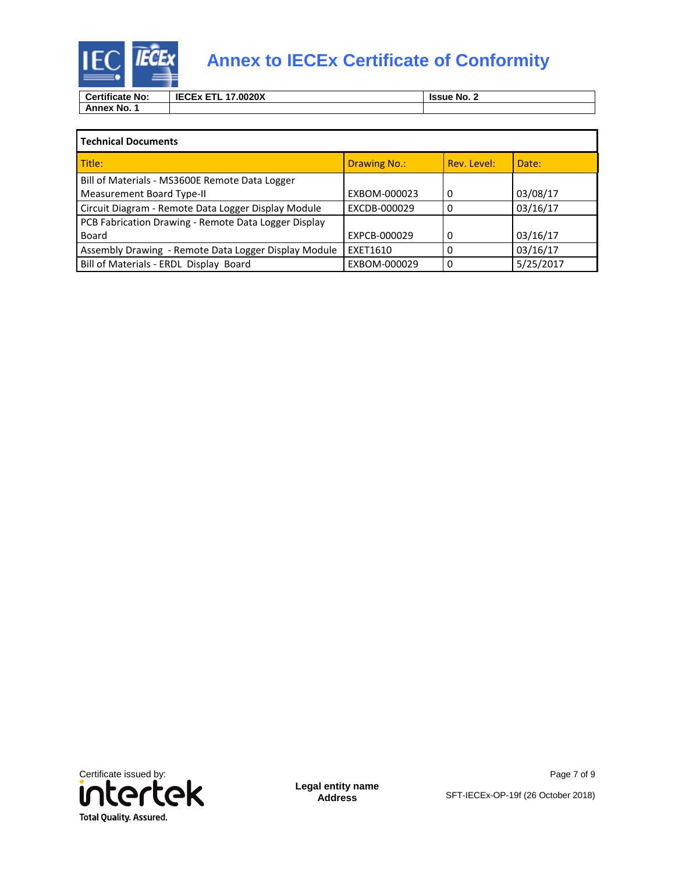

# **IEC IECEX** Annex to IECEx Certificate of Conformity

| <b>Certificate No:</b> | <b>IECEX</b><br>17.0020X<br>---- | <b>Issue No.</b> |
|------------------------|----------------------------------|------------------|
| No.<br>Annex           |                                  |                  |

| <b>Technical Documents</b>                           |                     |             |           |
|------------------------------------------------------|---------------------|-------------|-----------|
| Title:                                               | <b>Drawing No.:</b> | Rev. Level: | Date:     |
| Bill of Materials - MS3600E Remote Data Logger       |                     |             |           |
| Measurement Board Type-II                            | EXBOM-000023        | 0           | 03/08/17  |
| Circuit Diagram - Remote Data Logger Display Module  | EXCDB-000029        |             | 03/16/17  |
| PCB Fabrication Drawing - Remote Data Logger Display |                     |             |           |
| Board                                                | EXPCB-000029        | Ω           | 03/16/17  |
| Assembly Drawing - Remote Data Logger Display Module | EXET1610            |             | 03/16/17  |
| Bill of Materials - ERDL Display Board               | EXBOM-000029        |             | 5/25/2017 |



**Legal entity name Address**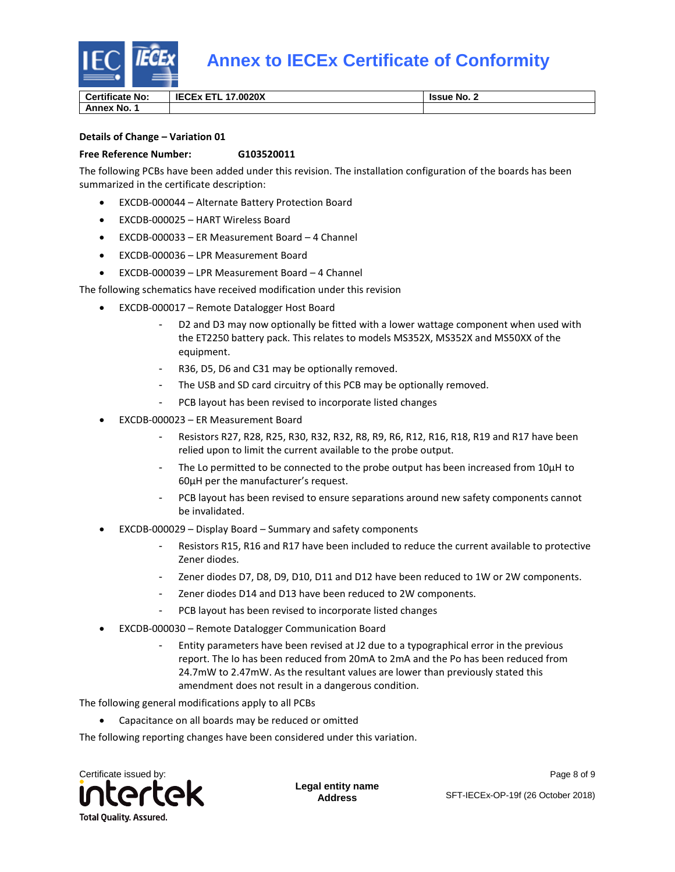

**Certificate No: IECEX ETL 17.0020X** ISSUE No. 2

**Annex No. 1**

### **Details of Change – Variation 01**

### **Free Reference Number: G103520011**

The following PCBs have been added under this revision. The installation configuration of the boards has been summarized in the certificate description:

- EXCDB-000044 Alternate Battery Protection Board
- EXCDB-000025 HART Wireless Board
- EXCDB-000033 ER Measurement Board 4 Channel
- EXCDB-000036 LPR Measurement Board
- EXCDB-000039 LPR Measurement Board 4 Channel

The following schematics have received modification under this revision

- EXCDB-000017 Remote Datalogger Host Board
	- D2 and D3 may now optionally be fitted with a lower wattage component when used with the ET2250 battery pack. This relates to models MS352X, MS352X and MS50XX of the equipment.
	- R36, D5, D6 and C31 may be optionally removed.
	- The USB and SD card circuitry of this PCB may be optionally removed.
	- PCB layout has been revised to incorporate listed changes
- EXCDB-000023 ER Measurement Board
	- Resistors R27, R28, R25, R30, R32, R32, R8, R9, R6, R12, R16, R18, R19 and R17 have been relied upon to limit the current available to the probe output.
	- The Lo permitted to be connected to the probe output has been increased from 10µH to 60µH per the manufacturer's request.
	- PCB layout has been revised to ensure separations around new safety components cannot be invalidated.
- EXCDB-000029 Display Board Summary and safety components
	- Resistors R15, R16 and R17 have been included to reduce the current available to protective Zener diodes.
	- Zener diodes D7, D8, D9, D10, D11 and D12 have been reduced to 1W or 2W components.
	- Zener diodes D14 and D13 have been reduced to 2W components.
	- PCB layout has been revised to incorporate listed changes
- EXCDB-000030 Remote Datalogger Communication Board
	- Entity parameters have been revised at J2 due to a typographical error in the previous report. The Io has been reduced from 20mA to 2mA and the Po has been reduced from 24.7mW to 2.47mW. As the resultant values are lower than previously stated this amendment does not result in a dangerous condition.

The following general modifications apply to all PCBs

• Capacitance on all boards may be reduced or omitted

The following reporting changes have been considered under this variation.



**Legal entity name Address**